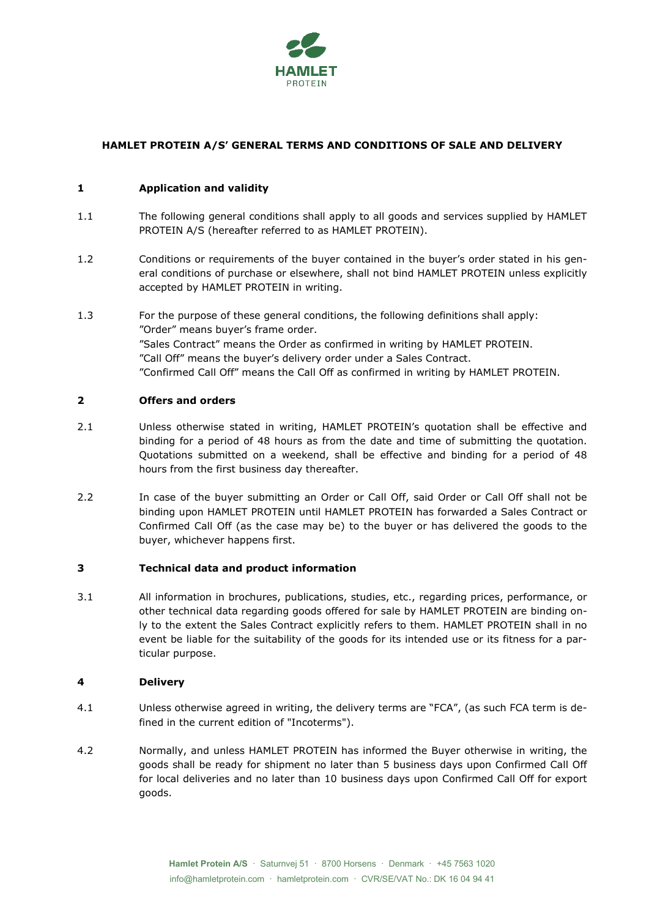

# **HAMLET PROTEIN A/S' GENERAL TERMS AND CONDITIONS OF SALE AND DELIVERY**

## **1 Application and validity**

- 1.1 The following general conditions shall apply to all goods and services supplied by HAMLET PROTEIN A/S (hereafter referred to as HAMLET PROTEIN).
- 1.2 Conditions or requirements of the buyer contained in the buyer's order stated in his general conditions of purchase or elsewhere, shall not bind HAMLET PROTEIN unless explicitly accepted by HAMLET PROTEIN in writing.
- 1.3 For the purpose of these general conditions, the following definitions shall apply: "Order" means buyer's frame order. "Sales Contract" means the Order as confirmed in writing by HAMLET PROTEIN. "Call Off" means the buyer's delivery order under a Sales Contract. "Confirmed Call Off" means the Call Off as confirmed in writing by HAMLET PROTEIN.

### **2 Offers and orders**

- 2.1 Unless otherwise stated in writing, HAMLET PROTEIN's quotation shall be effective and binding for a period of 48 hours as from the date and time of submitting the quotation. Quotations submitted on a weekend, shall be effective and binding for a period of 48 hours from the first business day thereafter.
- 2.2 In case of the buyer submitting an Order or Call Off, said Order or Call Off shall not be binding upon HAMLET PROTEIN until HAMLET PROTEIN has forwarded a Sales Contract or Confirmed Call Off (as the case may be) to the buyer or has delivered the goods to the buyer, whichever happens first.

## **3 Technical data and product information**

3.1 All information in brochures, publications, studies, etc., regarding prices, performance, or other technical data regarding goods offered for sale by HAMLET PROTEIN are binding only to the extent the Sales Contract explicitly refers to them. HAMLET PROTEIN shall in no event be liable for the suitability of the goods for its intended use or its fitness for a particular purpose.

### **4 Delivery**

- 4.1 Unless otherwise agreed in writing, the delivery terms are "FCA", (as such FCA term is defined in the current edition of "Incoterms").
- 4.2 Normally, and unless HAMLET PROTEIN has informed the Buyer otherwise in writing, the goods shall be ready for shipment no later than 5 business days upon Confirmed Call Off for local deliveries and no later than 10 business days upon Confirmed Call Off for export goods.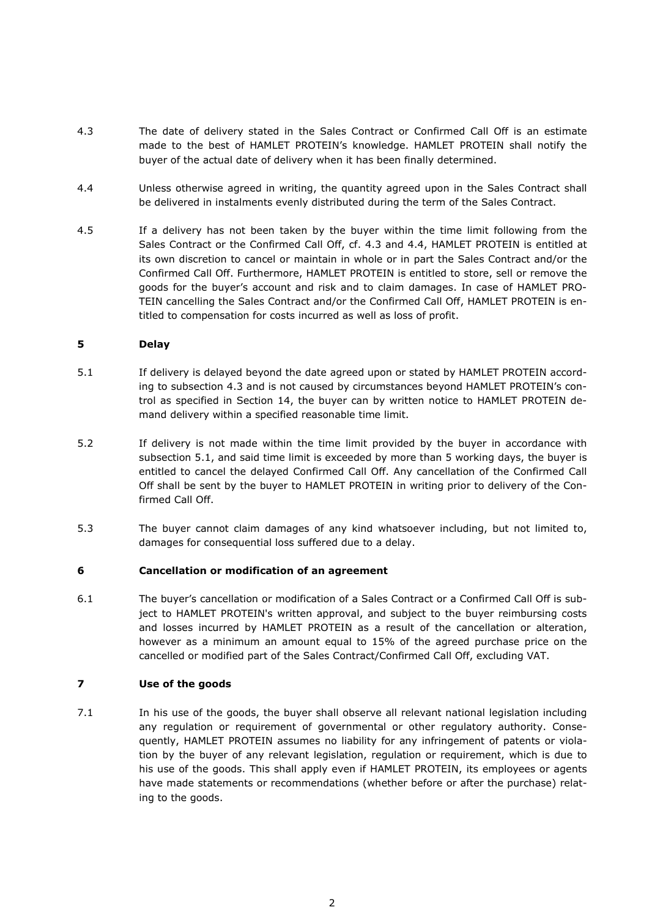- 4.3 The date of delivery stated in the Sales Contract or Confirmed Call Off is an estimate made to the best of HAMLET PROTEIN's knowledge. HAMLET PROTEIN shall notify the buyer of the actual date of delivery when it has been finally determined.
- 4.4 Unless otherwise agreed in writing, the quantity agreed upon in the Sales Contract shall be delivered in instalments evenly distributed during the term of the Sales Contract.
- 4.5 If a delivery has not been taken by the buyer within the time limit following from the Sales Contract or the Confirmed Call Off, cf. 4.3 and 4.4, HAMLET PROTEIN is entitled at its own discretion to cancel or maintain in whole or in part the Sales Contract and/or the Confirmed Call Off. Furthermore, HAMLET PROTEIN is entitled to store, sell or remove the goods for the buyer's account and risk and to claim damages. In case of HAMLET PRO-TEIN cancelling the Sales Contract and/or the Confirmed Call Off, HAMLET PROTEIN is entitled to compensation for costs incurred as well as loss of profit.

## **5 Delay**

- <span id="page-1-0"></span>5.1 If delivery is delayed beyond the date agreed upon or stated by HAMLET PROTEIN according to subsection 4.3 and is not caused by circumstances beyond HAMLET PROTEIN's control as specified in Section [14,](#page-3-0) the buyer can by written notice to HAMLET PROTEIN demand delivery within a specified reasonable time limit.
- 5.2 If delivery is not made within the time limit provided by the buyer in accordance with subsection [5.1,](#page-1-0) and said time limit is exceeded by more than 5 working days, the buyer is entitled to cancel the delayed Confirmed Call Off. Any cancellation of the Confirmed Call Off shall be sent by the buyer to HAMLET PROTEIN in writing prior to delivery of the Confirmed Call Off.
- 5.3 The buyer cannot claim damages of any kind whatsoever including, but not limited to, damages for consequential loss suffered due to a delay.

### **6 Cancellation or modification of an agreement**

6.1 The buyer's cancellation or modification of a Sales Contract or a Confirmed Call Off is subject to HAMLET PROTEIN's written approval, and subject to the buyer reimbursing costs and losses incurred by HAMLET PROTEIN as a result of the cancellation or alteration, however as a minimum an amount equal to 15% of the agreed purchase price on the cancelled or modified part of the Sales Contract/Confirmed Call Off, excluding VAT.

### **7 Use of the goods**

7.1 In his use of the goods, the buyer shall observe all relevant national legislation including any regulation or requirement of governmental or other regulatory authority. Consequently, HAMLET PROTEIN assumes no liability for any infringement of patents or violation by the buyer of any relevant legislation, regulation or requirement, which is due to his use of the goods. This shall apply even if HAMLET PROTEIN, its employees or agents have made statements or recommendations (whether before or after the purchase) relating to the goods.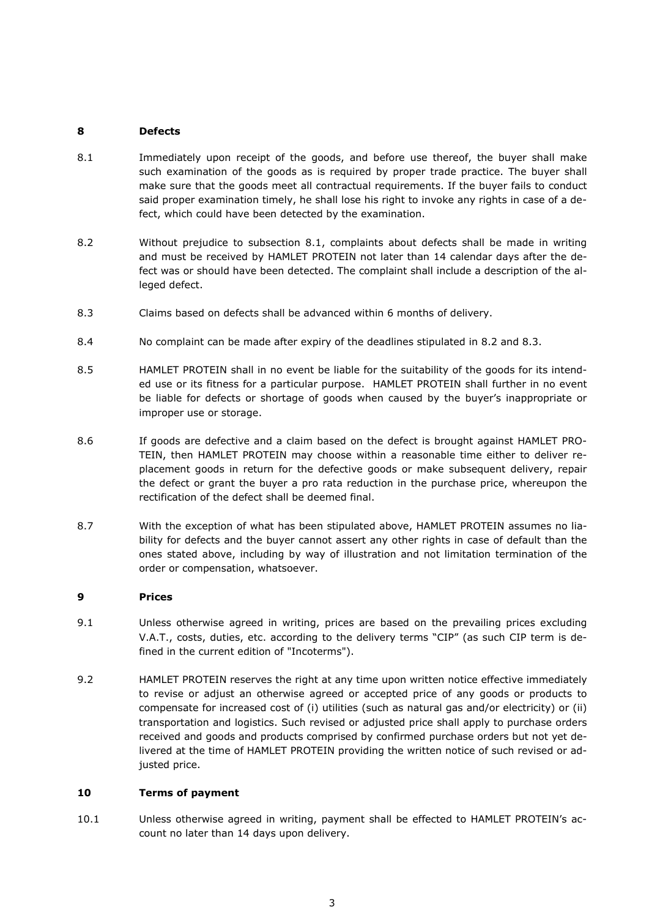## **8 Defects**

- 8.1 Immediately upon receipt of the goods, and before use thereof, the buyer shall make such examination of the goods as is required by proper trade practice. The buyer shall make sure that the goods meet all contractual requirements. If the buyer fails to conduct said proper examination timely, he shall lose his right to invoke any rights in case of a defect, which could have been detected by the examination.
- <span id="page-2-0"></span>8.2 Without prejudice to subsection 8.1, complaints about defects shall be made in writing and must be received by HAMLET PROTEIN not later than 14 calendar days after the defect was or should have been detected. The complaint shall include a description of the alleged defect.
- <span id="page-2-1"></span>8.3 Claims based on defects shall be advanced within 6 months of delivery.
- 8.4 No complaint can be made after expiry of the deadlines stipulated in [8.2](#page-2-0) and [8.3.](#page-2-1)
- 8.5 HAMLET PROTEIN shall in no event be liable for the suitability of the goods for its intended use or its fitness for a particular purpose. HAMLET PROTEIN shall further in no event be liable for defects or shortage of goods when caused by the buyer's inappropriate or improper use or storage.
- 8.6 If goods are defective and a claim based on the defect is brought against HAMLET PRO-TEIN, then HAMLET PROTEIN may choose within a reasonable time either to deliver replacement goods in return for the defective goods or make subsequent delivery, repair the defect or grant the buyer a pro rata reduction in the purchase price, whereupon the rectification of the defect shall be deemed final.
- 8.7 With the exception of what has been stipulated above, HAMLET PROTEIN assumes no liability for defects and the buyer cannot assert any other rights in case of default than the ones stated above, including by way of illustration and not limitation termination of the order or compensation, whatsoever.

## **9 Prices**

- 9.1 Unless otherwise agreed in writing, prices are based on the prevailing prices excluding V.A.T., costs, duties, etc. according to the delivery terms "CIP" (as such CIP term is defined in the current edition of "Incoterms").
- 9.2 HAMLET PROTEIN reserves the right at any time upon written notice effective immediately to revise or adjust an otherwise agreed or accepted price of any goods or products to compensate for increased cost of (i) utilities (such as natural gas and/or electricity) or (ii) transportation and logistics. Such revised or adjusted price shall apply to purchase orders received and goods and products comprised by confirmed purchase orders but not yet delivered at the time of HAMLET PROTEIN providing the written notice of such revised or adjusted price.

## **10 Terms of payment**

10.1 Unless otherwise agreed in writing, payment shall be effected to HAMLET PROTEIN's account no later than 14 days upon delivery.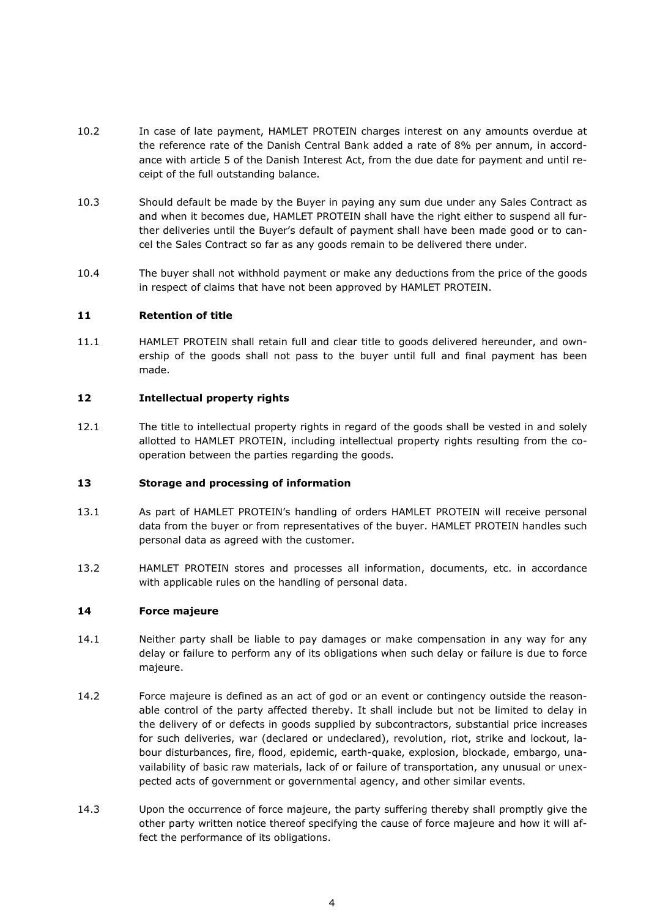- 10.2 In case of late payment, HAMLET PROTEIN charges interest on any amounts overdue at the reference rate of the Danish Central Bank added a rate of 8% per annum, in accordance with article 5 of the Danish Interest Act, from the due date for payment and until receipt of the full outstanding balance.
- 10.3 Should default be made by the Buyer in paying any sum due under any Sales Contract as and when it becomes due, HAMLET PROTEIN shall have the right either to suspend all further deliveries until the Buyer's default of payment shall have been made good or to cancel the Sales Contract so far as any goods remain to be delivered there under.
- 10.4 The buyer shall not withhold payment or make any deductions from the price of the goods in respect of claims that have not been approved by HAMLET PROTEIN.

### **11 Retention of title**

11.1 HAMLET PROTEIN shall retain full and clear title to goods delivered hereunder, and ownership of the goods shall not pass to the buyer until full and final payment has been made.

### **12 Intellectual property rights**

12.1 The title to intellectual property rights in regard of the goods shall be vested in and solely allotted to HAMLET PROTEIN, including intellectual property rights resulting from the cooperation between the parties regarding the goods.

### **13 Storage and processing of information**

- 13.1 As part of HAMLET PROTEIN's handling of orders HAMLET PROTEIN will receive personal data from the buyer or from representatives of the buyer. HAMLET PROTEIN handles such personal data as agreed with the customer.
- 13.2 HAMLET PROTEIN stores and processes all information, documents, etc. in accordance with applicable rules on the handling of personal data.

### <span id="page-3-0"></span>**14 Force majeure**

- 14.1 Neither party shall be liable to pay damages or make compensation in any way for any delay or failure to perform any of its obligations when such delay or failure is due to force majeure.
- 14.2 Force majeure is defined as an act of god or an event or contingency outside the reasonable control of the party affected thereby. It shall include but not be limited to delay in the delivery of or defects in goods supplied by subcontractors, substantial price increases for such deliveries, war (declared or undeclared), revolution, riot, strike and lockout, labour disturbances, fire, flood, epidemic, earth-quake, explosion, blockade, embargo, unavailability of basic raw materials, lack of or failure of transportation, any unusual or unexpected acts of government or governmental agency, and other similar events.
- 14.3 Upon the occurrence of force majeure, the party suffering thereby shall promptly give the other party written notice thereof specifying the cause of force majeure and how it will affect the performance of its obligations.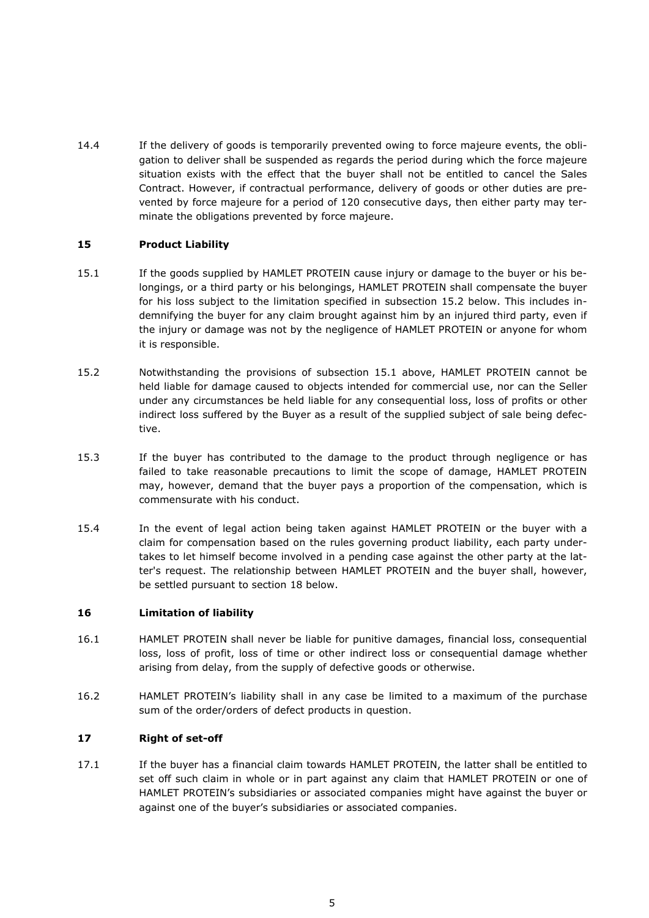14.4 If the delivery of goods is temporarily prevented owing to force majeure events, the obligation to deliver shall be suspended as regards the period during which the force majeure situation exists with the effect that the buyer shall not be entitled to cancel the Sales Contract. However, if contractual performance, delivery of goods or other duties are prevented by force majeure for a period of 120 consecutive days, then either party may terminate the obligations prevented by force majeure.

### **15 Product Liability**

- <span id="page-4-1"></span>15.1 If the goods supplied by HAMLET PROTEIN cause injury or damage to the buyer or his belongings, or a third party or his belongings, HAMLET PROTEIN shall compensate the buyer for his loss subject to the limitation specified in subsection [15.2](#page-4-0) below. This includes indemnifying the buyer for any claim brought against him by an injured third party, even if the injury or damage was not by the negligence of HAMLET PROTEIN or anyone for whom it is responsible.
- <span id="page-4-0"></span>15.2 Notwithstanding the provisions of subsection [15.1](#page-4-1) above, HAMLET PROTEIN cannot be held liable for damage caused to objects intended for commercial use, nor can the Seller under any circumstances be held liable for any consequential loss, loss of profits or other indirect loss suffered by the Buyer as a result of the supplied subject of sale being defective.
- 15.3 If the buyer has contributed to the damage to the product through negligence or has failed to take reasonable precautions to limit the scope of damage, HAMLET PROTEIN may, however, demand that the buyer pays a proportion of the compensation, which is commensurate with his conduct.
- 15.4 In the event of legal action being taken against HAMLET PROTEIN or the buyer with a claim for compensation based on the rules governing product liability, each party undertakes to let himself become involved in a pending case against the other party at the latter's request. The relationship between HAMLET PROTEIN and the buyer shall, however, be settled pursuant to section [18](#page-5-0) below.

### **16 Limitation of liability**

- 16.1 HAMLET PROTEIN shall never be liable for punitive damages, financial loss, consequential loss, loss of profit, loss of time or other indirect loss or consequential damage whether arising from delay, from the supply of defective goods or otherwise.
- 16.2 HAMLET PROTEIN's liability shall in any case be limited to a maximum of the purchase sum of the order/orders of defect products in question.

### **17 Right of set-off**

17.1 If the buyer has a financial claim towards HAMLET PROTEIN, the latter shall be entitled to set off such claim in whole or in part against any claim that HAMLET PROTEIN or one of HAMLET PROTEIN's subsidiaries or associated companies might have against the buyer or against one of the buyer's subsidiaries or associated companies.